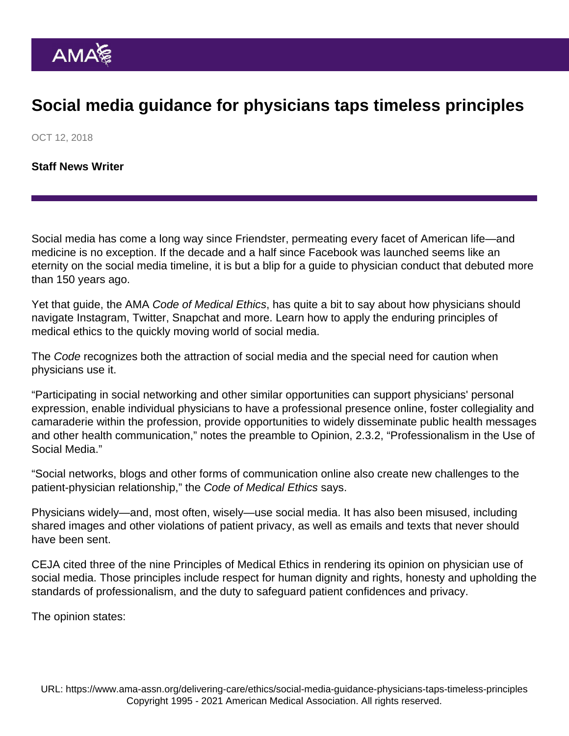## Social media guidance for physicians taps timeless principles

OCT 12, 2018

[Staff News Writer](https://www.ama-assn.org/news-leadership-viewpoints/authors-news-leadership-viewpoints/staff-news-writer)

Social media has come a long way since Friendster, permeating every facet of American life—and medicine is no exception. If the decade and a half since Facebook was launched seems like an eternity on the social media timeline, it is but a blip for a guide to physician conduct that debuted more than 150 years ago.

Yet that guide, the AMA Code of Medical Ethics, has quite a bit to say about how physicians should navigate Instagram, Twitter, Snapchat and more. Learn how to apply the enduring principles of medical ethics to the quickly moving world of social media.

The Code recognizes both the attraction of social media and the special need for caution when physicians use it.

"Participating in social networking and other similar opportunities can support physicians' personal expression, enable individual physicians to have a professional presence online, foster collegiality and camaraderie within the profession, provide opportunities to widely disseminate public health messages and other health communication," notes the preamble to Opinion, 2.3.2, ["Professionalism in the Use of](https://www.ama-assn.org/delivering-care/ethics/professionalism-use-social-media) [Social Media.](https://www.ama-assn.org/delivering-care/ethics/professionalism-use-social-media)"

"Social networks, blogs and other forms of communication online also create new challenges to the patient-physician relationship," the Code of Medical Ethics says.

Physicians widely—and, most often, wisely—use social media. It has also been misused, including shared images and other violations of patient privacy, as well as emails and texts that never should have been sent.

CEJA cited three of the nine [Principles of Medical Ethics](https://www.ama-assn.org/about-ama/publications-newsletters/ama-principles-medical-ethics) in rendering its opinion on physician use of social media. Those principles include respect for human dignity and rights, honesty and upholding the standards of professionalism, and the duty to safeguard patient confidences and privacy.

The opinion states: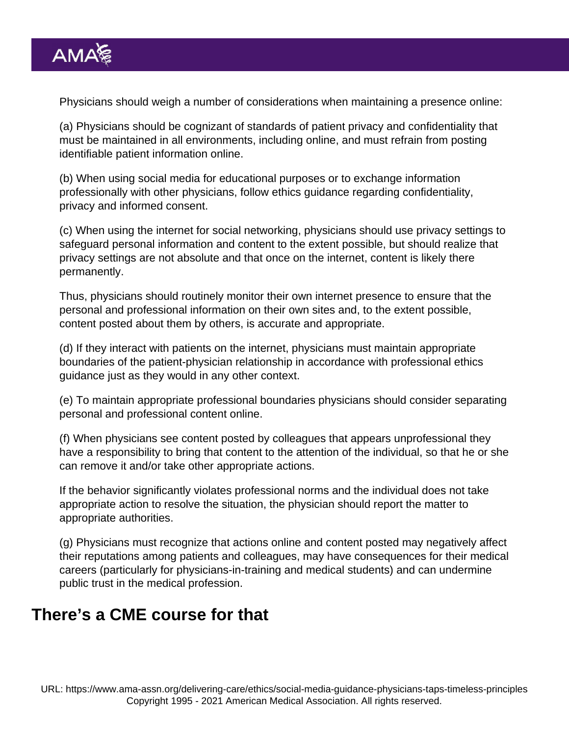Physicians should weigh a number of considerations when maintaining a presence online:

(a) Physicians should be cognizant of standards of patient privacy and confidentiality that must be maintained in all environments, including online, and must refrain from posting identifiable patient information online.

(b) When using social media for educational purposes or to exchange information professionally with other physicians, follow ethics guidance regarding confidentiality, privacy and informed consent.

(c) When using the internet for social networking, physicians should use privacy settings to safeguard personal information and content to the extent possible, but should realize that privacy settings are not absolute and that once on the internet, content is likely there permanently.

Thus, physicians should routinely monitor their own internet presence to ensure that the personal and professional information on their own sites and, to the extent possible, content posted about them by others, is accurate and appropriate.

(d) If they interact with patients on the internet, physicians must maintain appropriate boundaries of the patient-physician relationship in accordance with professional ethics guidance just as they would in any other context.

(e) To maintain appropriate professional boundaries physicians should consider separating personal and professional content online.

(f) When physicians see content posted by colleagues that appears unprofessional they have a responsibility to bring that content to the attention of the individual, so that he or she can remove it and/or take other appropriate actions.

If the behavior significantly violates professional norms and the individual does not take appropriate action to resolve the situation, the physician should report the matter to appropriate authorities.

(g) Physicians must recognize that actions online and content posted may negatively affect their reputations among patients and colleagues, may have consequences for their medical careers (particularly for physicians-in-training and medical students) and can undermine public trust in the medical profession.

## There's a CME course for that